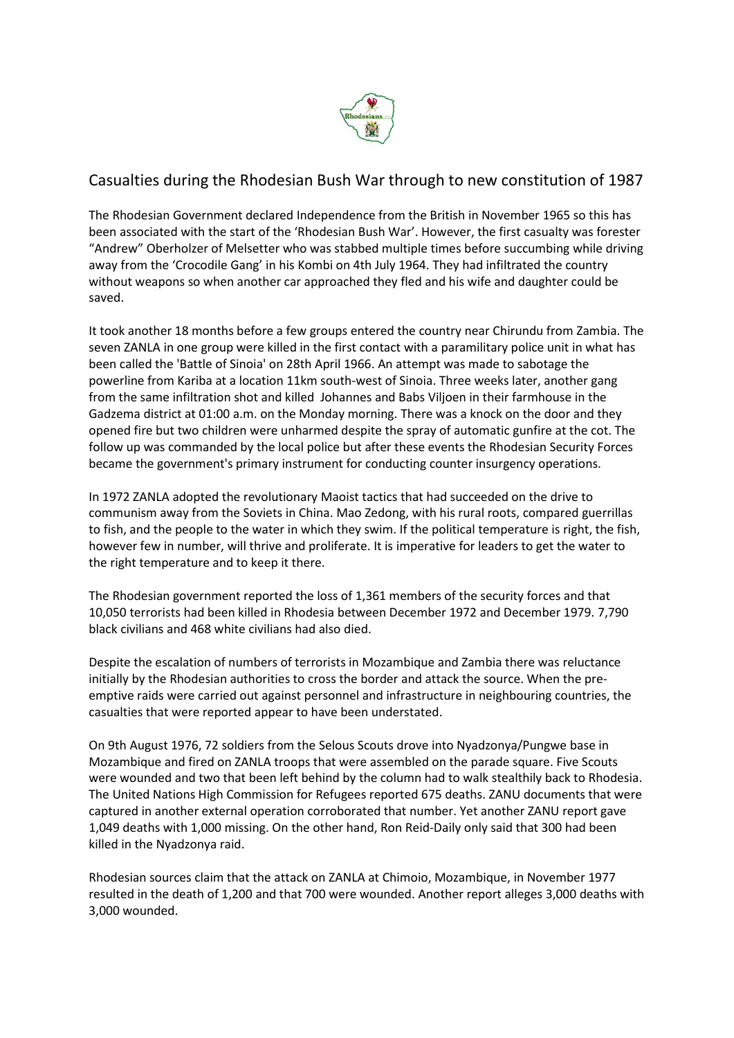

# Casualties during the Rhodesian Bush War through to new constitution of 1987

The Rhodesian Government declared Independence from the British in November 1965 so this has been associated with the start of the 'Rhodesian Bush War'. However, the first casualty was forester "Andrew" Oberholzer of Melsetter who was stabbed multiple times before succumbing while driving away from the 'Crocodile Gang' in his Kombi on 4th July 1964. They had infiltrated the country without weapons so when another car approached they fled and his wife and daughter could be saved.

It took another 18 months before a few groups entered the country near Chirundu from Zambia. The seven ZANLA in one group were killed in the first contact with a paramilitary police unit in what has been called the 'Battle of Sinoia' on 28th April 1966. An attempt was made to sabotage the powerline from Kariba at a location 11km south-west of Sinoia. Three weeks later, another gang from the same infiltration shot and killed Johannes and Babs Viljoen in their farmhouse in the Gadzema district at 01:00 a.m. on the Monday morning. There was a knock on the door and they opened fire but two children were unharmed despite the spray of automatic gunfire at the cot. The follow up was commanded by the local police but after these events the Rhodesian Security Forces became the government's primary instrument for conducting counter insurgency operations.

In 1972 ZANLA adopted the revolutionary Maoist tactics that had succeeded on the drive to communism away from the Soviets in China. Mao Zedong, with his rural roots, compared guerrillas to fish, and the people to the water in which they swim. If the political temperature is right, the fish, however few in number, will thrive and proliferate. It is imperative for leaders to get the water to the right temperature and to keep it there.

The Rhodesian government reported the loss of 1,361 members of the security forces and that 10,050 terrorists had been killed in Rhodesia between December 1972 and December 1979. 7,790 black civilians and 468 white civilians had also died.

Despite the escalation of numbers of terrorists in Mozambique and Zambia there was reluctance initially by the Rhodesian authorities to cross the border and attack the source. When the preemptive raids were carried out against personnel and infrastructure in neighbouring countries, the casualties that were reported appear to have been understated.

On 9th August 1976, 72 soldiers from the Selous Scouts drove into Nyadzonya/Pungwe base in Mozambique and fired on ZANLA troops that were assembled on the parade square. Five Scouts were wounded and two that been left behind by the column had to walk stealthily back to Rhodesia. The United Nations High Commission for Refugees reported 675 deaths. ZANU documents that were captured in another external operation corroborated that number. Yet another ZANU report gave 1,049 deaths with 1,000 missing. On the other hand, Ron Reid-Daily only said that 300 had been killed in the Nyadzonya raid.

Rhodesian sources claim that the attack on ZANLA at Chimoio, Mozambique, in November 1977 resulted in the death of 1,200 and that 700 were wounded. Another report alleges 3,000 deaths with 3,000 wounded.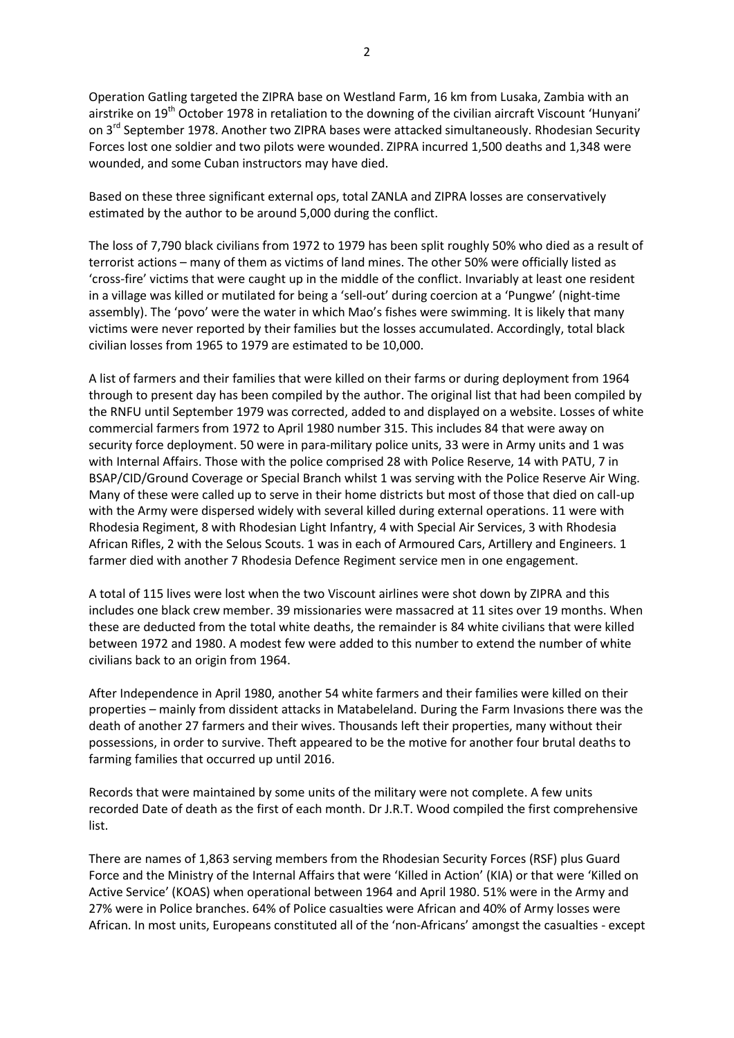Operation Gatling targeted the ZIPRA base on Westland Farm, 16 km from Lusaka, Zambia with an airstrike on 19<sup>th</sup> October 1978 in retaliation to the downing of the civilian aircraft Viscount 'Hunyani' on 3<sup>rd</sup> September 1978. Another two ZIPRA bases were attacked simultaneously. Rhodesian Security Forces lost one soldier and two pilots were wounded. ZIPRA incurred 1,500 deaths and 1,348 were wounded, and some Cuban instructors may have died.

Based on these three significant external ops, total ZANLA and ZIPRA losses are conservatively estimated by the author to be around 5,000 during the conflict.

The loss of 7,790 black civilians from 1972 to 1979 has been split roughly 50% who died as a result of terrorist actions – many of them as victims of land mines. The other 50% were officially listed as 'cross-fire' victims that were caught up in the middle of the conflict. Invariably at least one resident in a village was killed or mutilated for being a 'sell-out' during coercion at a 'Pungwe' (night-time assembly). The 'povo' were the water in which Mao's fishes were swimming. It is likely that many victims were never reported by their families but the losses accumulated. Accordingly, total black civilian losses from 1965 to 1979 are estimated to be 10,000.

A list of farmers and their families that were killed on their farms or during deployment from 1964 through to present day has been compiled by the author. The original list that had been compiled by the RNFU until September 1979 was corrected, added to and displayed on a website. Losses of white commercial farmers from 1972 to April 1980 number 315. This includes 84 that were away on security force deployment. 50 were in para-military police units, 33 were in Army units and 1 was with Internal Affairs. Those with the police comprised 28 with Police Reserve, 14 with PATU, 7 in BSAP/CID/Ground Coverage or Special Branch whilst 1 was serving with the Police Reserve Air Wing. Many of these were called up to serve in their home districts but most of those that died on call-up with the Army were dispersed widely with several killed during external operations. 11 were with Rhodesia Regiment, 8 with Rhodesian Light Infantry, 4 with Special Air Services, 3 with Rhodesia African Rifles, 2 with the Selous Scouts. 1 was in each of Armoured Cars, Artillery and Engineers. 1 farmer died with another 7 Rhodesia Defence Regiment service men in one engagement.

A total of 115 lives were lost when the two Viscount airlines were shot down by ZIPRA and this includes one black crew member. 39 missionaries were massacred at 11 sites over 19 months. When these are deducted from the total white deaths, the remainder is 84 white civilians that were killed between 1972 and 1980. A modest few were added to this number to extend the number of white civilians back to an origin from 1964.

After Independence in April 1980, another 54 white farmers and their families were killed on their properties – mainly from dissident attacks in Matabeleland. During the Farm Invasions there was the death of another 27 farmers and their wives. Thousands left their properties, many without their possessions, in order to survive. Theft appeared to be the motive for another four brutal deaths to farming families that occurred up until 2016.

Records that were maintained by some units of the military were not complete. A few units recorded Date of death as the first of each month. Dr J.R.T. Wood compiled the first comprehensive list.

There are names of 1,863 serving members from the Rhodesian Security Forces (RSF) plus Guard Force and the Ministry of the Internal Affairs that were 'Killed in Action' (KIA) or that were 'Killed on Active Service' (KOAS) when operational between 1964 and April 1980. 51% were in the Army and 27% were in Police branches. 64% of Police casualties were African and 40% of Army losses were African. In most units, Europeans constituted all of the 'non-Africans' amongst the casualties - except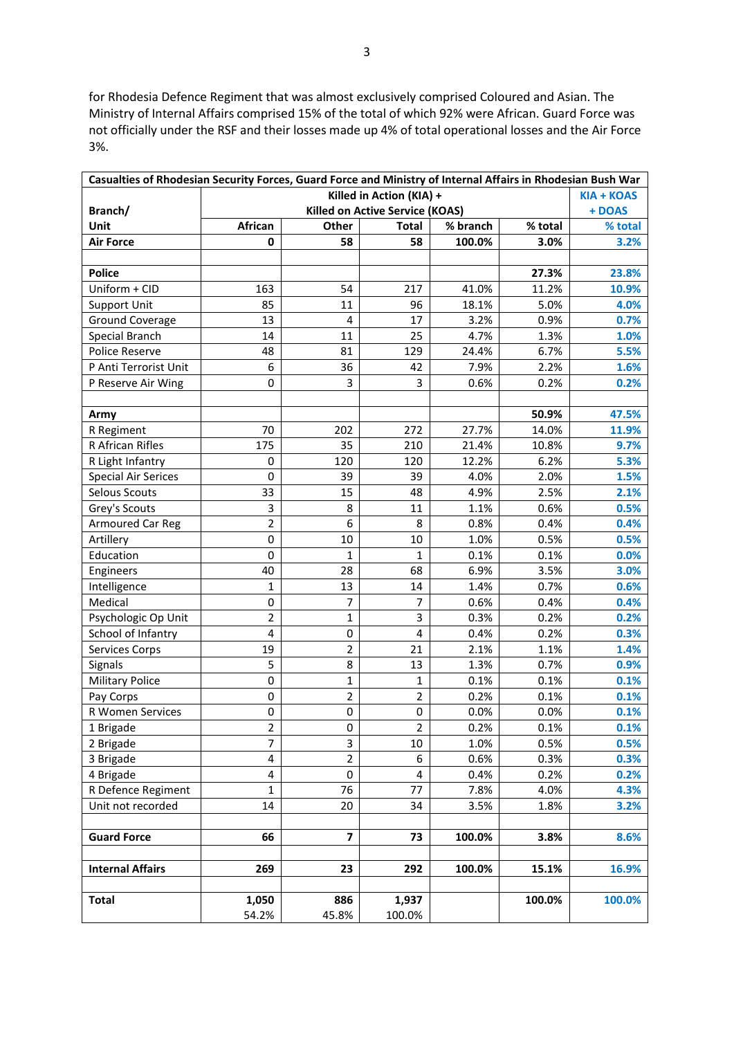for Rhodesia Defence Regiment that was almost exclusively comprised Coloured and Asian. The Ministry of Internal Affairs comprised 15% of the total of which 92% were African. Guard Force was not officially under the RSF and their losses made up 4% of total operational losses and the Air Force 3%.

| Casualties of Rhodesian Security Forces, Guard Force and Ministry of Internal Affairs in Rhodesian Bush War |                                          |                         |                |          |         |         |  |
|-------------------------------------------------------------------------------------------------------------|------------------------------------------|-------------------------|----------------|----------|---------|---------|--|
|                                                                                                             | Killed in Action (KIA) +<br>$KIA + KOAS$ |                         |                |          |         |         |  |
| Branch/                                                                                                     | <b>Killed on Active Service (KOAS)</b>   |                         |                |          |         |         |  |
| Unit                                                                                                        | African                                  | Other                   | <b>Total</b>   | % branch | % total | % total |  |
| <b>Air Force</b>                                                                                            | $\mathbf 0$                              | 58                      | 58             | 100.0%   | 3.0%    | 3.2%    |  |
|                                                                                                             |                                          |                         |                |          |         |         |  |
| <b>Police</b>                                                                                               |                                          |                         |                |          | 27.3%   | 23.8%   |  |
| Uniform + CID                                                                                               | 163                                      | 54                      | 217            | 41.0%    | 11.2%   | 10.9%   |  |
| <b>Support Unit</b>                                                                                         | 85                                       | 11                      | 96             | 18.1%    | 5.0%    | 4.0%    |  |
| <b>Ground Coverage</b>                                                                                      | 13                                       | 4                       | 17             | 3.2%     | 0.9%    | 0.7%    |  |
| Special Branch                                                                                              | 14                                       | 11                      | 25             | 4.7%     | 1.3%    | 1.0%    |  |
| <b>Police Reserve</b>                                                                                       | 48                                       | 81                      | 129            | 24.4%    | 6.7%    | 5.5%    |  |
| P Anti Terrorist Unit                                                                                       | 6                                        | 36                      | 42             | 7.9%     | 2.2%    | 1.6%    |  |
| P Reserve Air Wing                                                                                          | 0                                        | 3                       | 3              | 0.6%     | 0.2%    | 0.2%    |  |
|                                                                                                             |                                          |                         |                |          |         |         |  |
| Army                                                                                                        |                                          |                         |                |          | 50.9%   | 47.5%   |  |
| R Regiment                                                                                                  | 70                                       | 202                     | 272            | 27.7%    | 14.0%   | 11.9%   |  |
| R African Rifles                                                                                            | 175                                      | 35                      | 210            | 21.4%    | 10.8%   | 9.7%    |  |
| R Light Infantry                                                                                            | 0                                        | 120                     | 120            | 12.2%    | 6.2%    | 5.3%    |  |
| <b>Special Air Serices</b>                                                                                  | 0                                        | 39                      | 39             | 4.0%     | 2.0%    | 1.5%    |  |
| Selous Scouts                                                                                               | 33                                       | 15                      | 48             | 4.9%     | 2.5%    | 2.1%    |  |
| Grey's Scouts                                                                                               | 3                                        | 8                       | 11             | 1.1%     | 0.6%    | 0.5%    |  |
| <b>Armoured Car Reg</b>                                                                                     | $\overline{2}$                           | 6                       | 8              | 0.8%     | 0.4%    | 0.4%    |  |
| Artillery                                                                                                   | 0                                        | 10                      | 10             | 1.0%     | 0.5%    | 0.5%    |  |
| Education                                                                                                   | 0                                        | $\mathbf{1}$            | 1              | 0.1%     | 0.1%    | 0.0%    |  |
| Engineers                                                                                                   | 40                                       | 28                      | 68             | 6.9%     | 3.5%    | 3.0%    |  |
| Intelligence                                                                                                | 1                                        | 13                      | 14             | 1.4%     | 0.7%    | 0.6%    |  |
| Medical                                                                                                     | 0                                        | 7                       | 7              | 0.6%     | 0.4%    | 0.4%    |  |
| Psychologic Op Unit                                                                                         | $\overline{2}$                           | $\mathbf{1}$            | 3              | 0.3%     | 0.2%    | 0.2%    |  |
| School of Infantry                                                                                          | 4                                        | 0                       | 4              | 0.4%     | 0.2%    | 0.3%    |  |
| <b>Services Corps</b>                                                                                       | 19                                       | $\overline{2}$          | 21             | 2.1%     | 1.1%    | 1.4%    |  |
| Signals                                                                                                     | 5                                        | 8                       | 13             | 1.3%     | 0.7%    | 0.9%    |  |
| <b>Military Police</b>                                                                                      | 0                                        | $\mathbf{1}$            | 1              | 0.1%     | 0.1%    | 0.1%    |  |
| Pay Corps                                                                                                   | 0                                        | $\overline{2}$          | $\overline{2}$ | 0.2%     | 0.1%    | 0.1%    |  |
| R Women Services                                                                                            | 0                                        | $\pmb{0}$               | $\pmb{0}$      | 0.0%     | 0.0%    | 0.1%    |  |
| 1 Brigade                                                                                                   | 2                                        | 0                       | $\overline{2}$ | 0.2%     | 0.1%    | 0.1%    |  |
| 2 Brigade                                                                                                   | $\overline{7}$                           | 3                       | 10             | 1.0%     | 0.5%    | 0.5%    |  |
| 3 Brigade                                                                                                   | 4                                        | $\overline{2}$          | 6              | 0.6%     | 0.3%    | 0.3%    |  |
| 4 Brigade                                                                                                   | 4                                        | $\pmb{0}$               | 4              | 0.4%     | 0.2%    | 0.2%    |  |
| R Defence Regiment                                                                                          | $\mathbf{1}$                             | 76                      | 77             | 7.8%     | 4.0%    | 4.3%    |  |
| Unit not recorded                                                                                           | 14                                       | 20                      | 34             | 3.5%     | 1.8%    | 3.2%    |  |
|                                                                                                             |                                          |                         |                |          |         |         |  |
| <b>Guard Force</b>                                                                                          | 66                                       | $\overline{\mathbf{z}}$ | 73             | 100.0%   | 3.8%    | 8.6%    |  |
|                                                                                                             |                                          |                         |                |          |         |         |  |
| <b>Internal Affairs</b>                                                                                     | 269                                      | 23                      | 292            | 100.0%   | 15.1%   | 16.9%   |  |
|                                                                                                             |                                          |                         |                |          |         |         |  |
| <b>Total</b>                                                                                                | 1,050                                    | 886                     | 1,937          |          | 100.0%  | 100.0%  |  |
|                                                                                                             | 54.2%                                    | 45.8%                   | 100.0%         |          |         |         |  |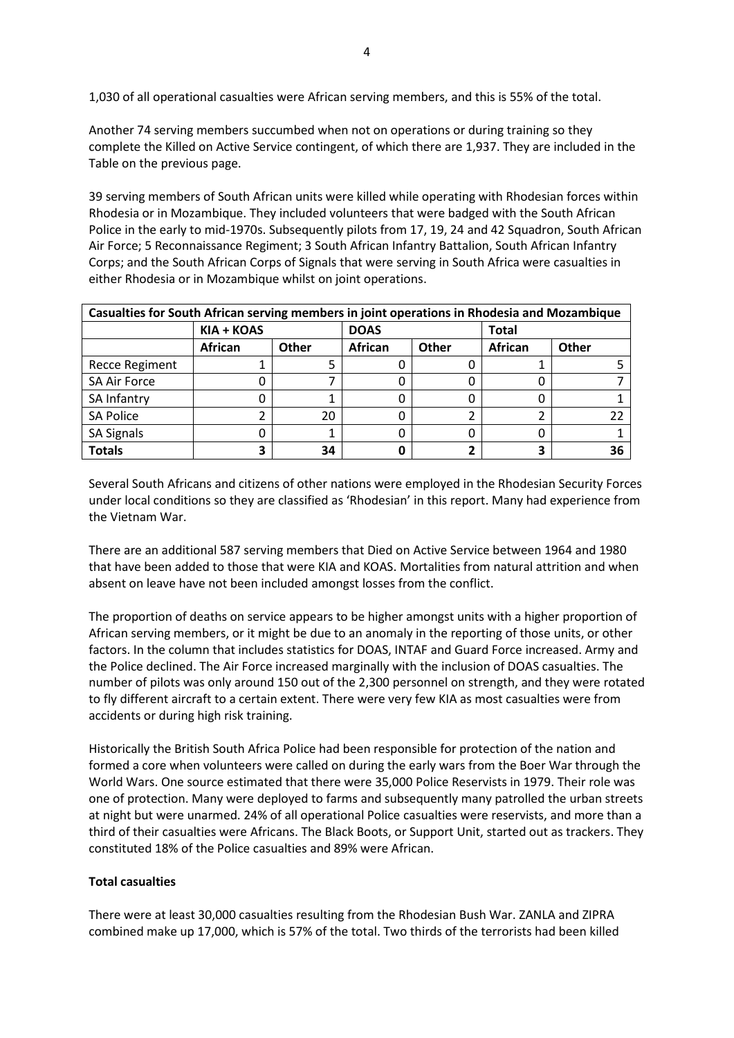1,030 of all operational casualties were African serving members, and this is 55% of the total.

Another 74 serving members succumbed when not on operations or during training so they complete the Killed on Active Service contingent, of which there are 1,937. They are included in the Table on the previous page.

39 serving members of South African units were killed while operating with Rhodesian forces within Rhodesia or in Mozambique. They included volunteers that were badged with the South African Police in the early to mid-1970s. Subsequently pilots from 17, 19, 24 and 42 Squadron, South African Air Force; 5 Reconnaissance Regiment; 3 South African Infantry Battalion, South African Infantry Corps; and the South African Corps of Signals that were serving in South Africa were casualties in either Rhodesia or in Mozambique whilst on joint operations.

| Casualties for South African serving members in joint operations in Rhodesia and Mozambique |                |       |                |              |                |              |
|---------------------------------------------------------------------------------------------|----------------|-------|----------------|--------------|----------------|--------------|
|                                                                                             | KIA + KOAS     |       | <b>DOAS</b>    |              | <b>Total</b>   |              |
|                                                                                             | <b>African</b> | Other | <b>African</b> | <b>Other</b> | <b>African</b> | <b>Other</b> |
| <b>Recce Regiment</b>                                                                       |                |       |                |              |                |              |
| <b>SA Air Force</b>                                                                         |                |       |                |              |                |              |
| SA Infantry                                                                                 |                |       |                |              |                |              |
| <b>SA Police</b>                                                                            |                | 20    |                |              |                |              |
| <b>SA Signals</b>                                                                           |                |       |                |              |                |              |
| <b>Totals</b>                                                                               | 3              | 34    |                |              |                | 36           |

Several South Africans and citizens of other nations were employed in the Rhodesian Security Forces under local conditions so they are classified as 'Rhodesian' in this report. Many had experience from the Vietnam War.

There are an additional 587 serving members that Died on Active Service between 1964 and 1980 that have been added to those that were KIA and KOAS. Mortalities from natural attrition and when absent on leave have not been included amongst losses from the conflict.

The proportion of deaths on service appears to be higher amongst units with a higher proportion of African serving members, or it might be due to an anomaly in the reporting of those units, or other factors. In the column that includes statistics for DOAS, INTAF and Guard Force increased. Army and the Police declined. The Air Force increased marginally with the inclusion of DOAS casualties. The number of pilots was only around 150 out of the 2,300 personnel on strength, and they were rotated to fly different aircraft to a certain extent. There were very few KIA as most casualties were from accidents or during high risk training.

Historically the British South Africa Police had been responsible for protection of the nation and formed a core when volunteers were called on during the early wars from the Boer War through the World Wars. One source estimated that there were 35,000 Police Reservists in 1979. Their role was one of protection. Many were deployed to farms and subsequently many patrolled the urban streets at night but were unarmed. 24% of all operational Police casualties were reservists, and more than a third of their casualties were Africans. The Black Boots, or Support Unit, started out as trackers. They constituted 18% of the Police casualties and 89% were African.

# **Total casualties**

There were at least 30,000 casualties resulting from the Rhodesian Bush War. ZANLA and ZIPRA combined make up 17,000, which is 57% of the total. Two thirds of the terrorists had been killed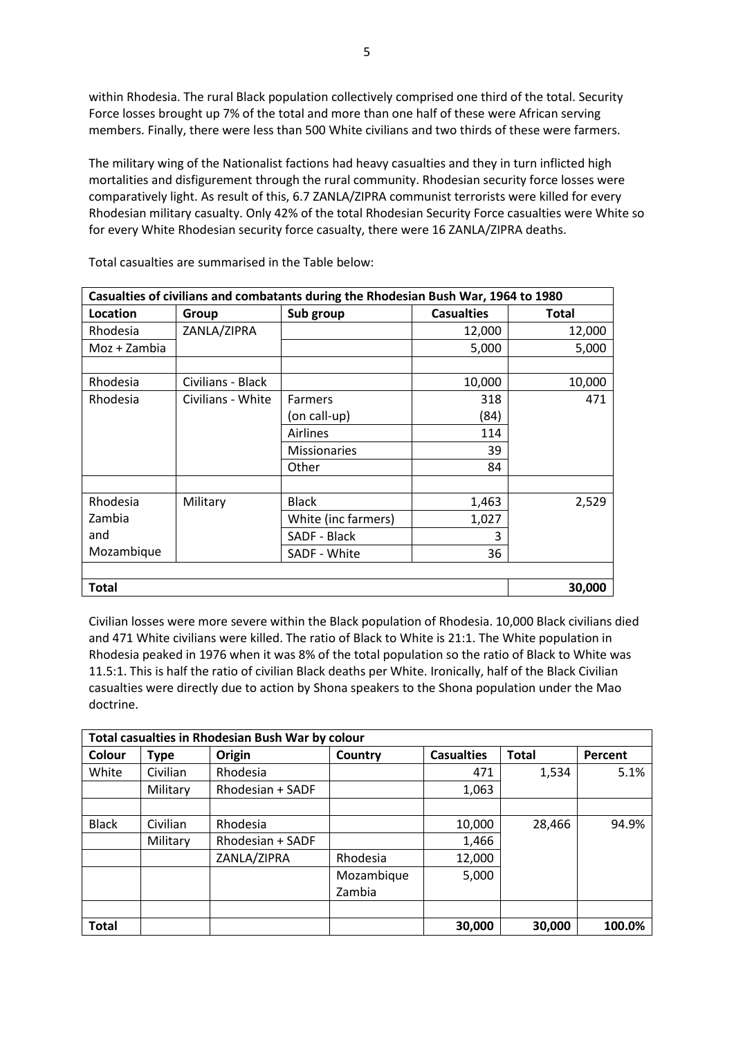within Rhodesia. The rural Black population collectively comprised one third of the total. Security Force losses brought up 7% of the total and more than one half of these were African serving members. Finally, there were less than 500 White civilians and two thirds of these were farmers.

The military wing of the Nationalist factions had heavy casualties and they in turn inflicted high mortalities and disfigurement through the rural community. Rhodesian security force losses were comparatively light. As result of this, 6.7 ZANLA/ZIPRA communist terrorists were killed for every Rhodesian military casualty. Only 42% of the total Rhodesian Security Force casualties were White so for every White Rhodesian security force casualty, there were 16 ZANLA/ZIPRA deaths.

| Casualties of civilians and combatants during the Rhodesian Bush War, 1964 to 1980 |                   |                     |                   |        |  |  |
|------------------------------------------------------------------------------------|-------------------|---------------------|-------------------|--------|--|--|
| Location                                                                           | Group             | Sub group           | <b>Casualties</b> | Total  |  |  |
| Rhodesia                                                                           | ZANLA/ZIPRA       |                     | 12,000            | 12,000 |  |  |
| Moz + Zambia                                                                       |                   |                     | 5,000             | 5,000  |  |  |
|                                                                                    |                   |                     |                   |        |  |  |
| Rhodesia                                                                           | Civilians - Black |                     | 10,000            | 10,000 |  |  |
| Rhodesia                                                                           | Civilians - White | <b>Farmers</b>      | 318               | 471    |  |  |
|                                                                                    |                   | (on call-up)        | (84)              |        |  |  |
|                                                                                    |                   | <b>Airlines</b>     | 114               |        |  |  |
|                                                                                    |                   | <b>Missionaries</b> | 39                |        |  |  |
|                                                                                    |                   | Other               | 84                |        |  |  |
|                                                                                    |                   |                     |                   |        |  |  |
| Rhodesia                                                                           | Military          | <b>Black</b>        | 1,463             | 2,529  |  |  |
| Zambia                                                                             |                   | White (inc farmers) | 1,027             |        |  |  |
| and                                                                                |                   | SADF - Black        | 3                 |        |  |  |
| Mozambique                                                                         |                   | SADF - White        | 36                |        |  |  |
|                                                                                    |                   |                     |                   |        |  |  |
| <b>Total</b>                                                                       | 30,000            |                     |                   |        |  |  |

Total casualties are summarised in the Table below:

Civilian losses were more severe within the Black population of Rhodesia. 10,000 Black civilians died and 471 White civilians were killed. The ratio of Black to White is 21:1. The White population in Rhodesia peaked in 1976 when it was 8% of the total population so the ratio of Black to White was 11.5:1. This is half the ratio of civilian Black deaths per White. Ironically, half of the Black Civilian casualties were directly due to action by Shona speakers to the Shona population under the Mao doctrine.

| <b>Total casualties in Rhodesian Bush War by colour</b> |             |                  |            |                   |              |         |
|---------------------------------------------------------|-------------|------------------|------------|-------------------|--------------|---------|
| Colour                                                  | <b>Type</b> | Origin           | Country    | <b>Casualties</b> | <b>Total</b> | Percent |
| White                                                   | Civilian    | Rhodesia         |            | 471               | 1,534        | 5.1%    |
|                                                         | Military    | Rhodesian + SADF |            | 1,063             |              |         |
|                                                         |             |                  |            |                   |              |         |
| <b>Black</b>                                            | Civilian    | Rhodesia         |            | 10,000            | 28,466       | 94.9%   |
|                                                         | Military    | Rhodesian + SADF |            | 1,466             |              |         |
|                                                         |             | ZANLA/ZIPRA      | Rhodesia   | 12,000            |              |         |
|                                                         |             |                  | Mozambique | 5,000             |              |         |
|                                                         |             |                  | Zambia     |                   |              |         |
|                                                         |             |                  |            |                   |              |         |
| <b>Total</b>                                            |             |                  |            | 30,000            | 30,000       | 100.0%  |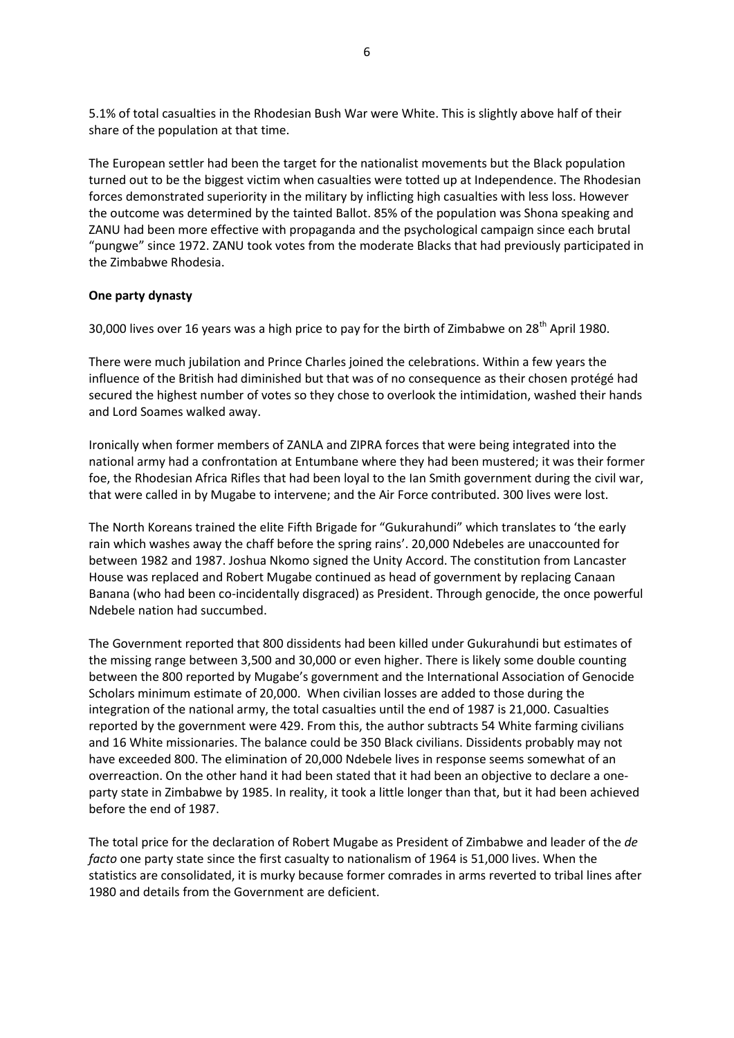5.1% of total casualties in the Rhodesian Bush War were White. This is slightly above half of their share of the population at that time.

The European settler had been the target for the nationalist movements but the Black population turned out to be the biggest victim when casualties were totted up at Independence. The Rhodesian forces demonstrated superiority in the military by inflicting high casualties with less loss. However the outcome was determined by the tainted Ballot. 85% of the population was Shona speaking and ZANU had been more effective with propaganda and the psychological campaign since each brutal "pungwe" since 1972. ZANU took votes from the moderate Blacks that had previously participated in the Zimbabwe Rhodesia.

### **One party dynasty**

30,000 lives over 16 years was a high price to pay for the birth of Zimbabwe on 28<sup>th</sup> April 1980.

There were much jubilation and Prince Charles joined the celebrations. Within a few years the influence of the British had diminished but that was of no consequence as their chosen protégé had secured the highest number of votes so they chose to overlook the intimidation, washed their hands and Lord Soames walked away.

Ironically when former members of ZANLA and ZIPRA forces that were being integrated into the national army had a confrontation at Entumbane where they had been mustered; it was their former foe, the Rhodesian Africa Rifles that had been loyal to the Ian Smith government during the civil war, that were called in by Mugabe to intervene; and the Air Force contributed. 300 lives were lost.

The North Koreans trained the elite Fifth Brigade for "Gukurahundi" which translates to 'the early rain which washes away the chaff before the spring rains'. 20,000 Ndebeles are unaccounted for between 1982 and 1987. Joshua Nkomo signed the Unity Accord. The constitution from Lancaster House was replaced and Robert Mugabe continued as head of government by replacing Canaan Banana (who had been co-incidentally disgraced) as President. Through genocide, the once powerful Ndebele nation had succumbed.

The Government reported that 800 dissidents had been killed under Gukurahundi but estimates of the missing range between 3,500 and 30,000 or even higher. There is likely some double counting between the 800 reported by Mugabe's government and the International Association of Genocide Scholars minimum estimate of 20,000. When civilian losses are added to those during the integration of the national army, the total casualties until the end of 1987 is 21,000. Casualties reported by the government were 429. From this, the author subtracts 54 White farming civilians and 16 White missionaries. The balance could be 350 Black civilians. Dissidents probably may not have exceeded 800. The elimination of 20,000 Ndebele lives in response seems somewhat of an overreaction. On the other hand it had been stated that it had been an objective to declare a oneparty state in Zimbabwe by 1985. In reality, it took a little longer than that, but it had been achieved before the end of 1987.

The total price for the declaration of Robert Mugabe as President of Zimbabwe and leader of the *de facto* one party state since the first casualty to nationalism of 1964 is 51,000 lives. When the statistics are consolidated, it is murky because former comrades in arms reverted to tribal lines after 1980 and details from the Government are deficient.